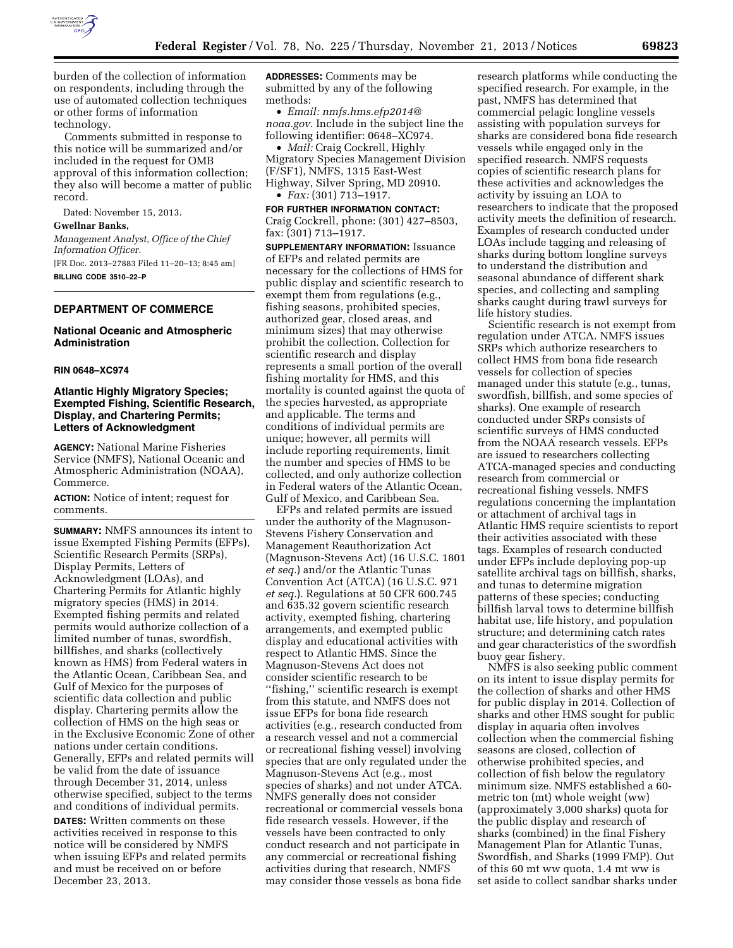

burden of the collection of information on respondents, including through the use of automated collection techniques or other forms of information technology.

Comments submitted in response to this notice will be summarized and/or included in the request for OMB approval of this information collection; they also will become a matter of public record.

Dated: November 15, 2013.

### **Gwellnar Banks,**

*Management Analyst, Office of the Chief Information Officer.* 

[FR Doc. 2013–27883 Filed 11–20–13; 8:45 am] **BILLING CODE 3510–22–P** 

# **DEPARTMENT OF COMMERCE**

### **National Oceanic and Atmospheric Administration**

#### **RIN 0648–XC974**

## **Atlantic Highly Migratory Species; Exempted Fishing, Scientific Research, Display, and Chartering Permits; Letters of Acknowledgment**

**AGENCY:** National Marine Fisheries Service (NMFS), National Oceanic and Atmospheric Administration (NOAA), Commerce.

**ACTION:** Notice of intent; request for comments.

**SUMMARY:** NMFS announces its intent to issue Exempted Fishing Permits (EFPs), Scientific Research Permits (SRPs), Display Permits, Letters of Acknowledgment (LOAs), and Chartering Permits for Atlantic highly migratory species (HMS) in 2014. Exempted fishing permits and related permits would authorize collection of a limited number of tunas, swordfish, billfishes, and sharks (collectively known as HMS) from Federal waters in the Atlantic Ocean, Caribbean Sea, and Gulf of Mexico for the purposes of scientific data collection and public display. Chartering permits allow the collection of HMS on the high seas or in the Exclusive Economic Zone of other nations under certain conditions. Generally, EFPs and related permits will be valid from the date of issuance through December 31, 2014, unless otherwise specified, subject to the terms and conditions of individual permits.

**DATES:** Written comments on these activities received in response to this notice will be considered by NMFS when issuing EFPs and related permits and must be received on or before December 23, 2013.

**ADDRESSES:** Comments may be submitted by any of the following methods:

• *Email: [nmfs.hms.efp2014@](mailto:nmfs.hms.efp2014@noaa.gov) [noaa.gov.](mailto:nmfs.hms.efp2014@noaa.gov)* Include in the subject line the following identifier: 0648–XC974.

• *Mail:* Craig Cockrell, Highly Migratory Species Management Division (F/SF1), NMFS, 1315 East-West Highway, Silver Spring, MD 20910. • *Fax:* (301) 713–1917.

**FOR FURTHER INFORMATION CONTACT:**  Craig Cockrell, phone: (301) 427–8503, fax: (301) 713–1917.

**SUPPLEMENTARY INFORMATION:** Issuance of EFPs and related permits are necessary for the collections of HMS for public display and scientific research to exempt them from regulations (e.g., fishing seasons, prohibited species, authorized gear, closed areas, and minimum sizes) that may otherwise prohibit the collection. Collection for scientific research and display represents a small portion of the overall fishing mortality for HMS, and this mortality is counted against the quota of the species harvested, as appropriate and applicable. The terms and conditions of individual permits are unique; however, all permits will include reporting requirements, limit the number and species of HMS to be collected, and only authorize collection in Federal waters of the Atlantic Ocean, Gulf of Mexico, and Caribbean Sea.

EFPs and related permits are issued under the authority of the Magnuson-Stevens Fishery Conservation and Management Reauthorization Act (Magnuson-Stevens Act) (16 U.S.C. 1801 *et seq.*) and/or the Atlantic Tunas Convention Act (ATCA) (16 U.S.C. 971 *et seq.*). Regulations at 50 CFR 600.745 and 635.32 govern scientific research activity, exempted fishing, chartering arrangements, and exempted public display and educational activities with respect to Atlantic HMS. Since the Magnuson-Stevens Act does not consider scientific research to be ''fishing,'' scientific research is exempt from this statute, and NMFS does not issue EFPs for bona fide research activities (e.g., research conducted from a research vessel and not a commercial or recreational fishing vessel) involving species that are only regulated under the Magnuson-Stevens Act (e.g., most species of sharks) and not under ATCA. NMFS generally does not consider recreational or commercial vessels bona fide research vessels. However, if the vessels have been contracted to only conduct research and not participate in any commercial or recreational fishing activities during that research, NMFS may consider those vessels as bona fide

research platforms while conducting the specified research. For example, in the past, NMFS has determined that commercial pelagic longline vessels assisting with population surveys for sharks are considered bona fide research vessels while engaged only in the specified research. NMFS requests copies of scientific research plans for these activities and acknowledges the activity by issuing an LOA to researchers to indicate that the proposed activity meets the definition of research. Examples of research conducted under LOAs include tagging and releasing of sharks during bottom longline surveys to understand the distribution and seasonal abundance of different shark species, and collecting and sampling sharks caught during trawl surveys for life history studies.

Scientific research is not exempt from regulation under ATCA. NMFS issues SRPs which authorize researchers to collect HMS from bona fide research vessels for collection of species managed under this statute (e.g., tunas, swordfish, billfish, and some species of sharks). One example of research conducted under SRPs consists of scientific surveys of HMS conducted from the NOAA research vessels. EFPs are issued to researchers collecting ATCA-managed species and conducting research from commercial or recreational fishing vessels. NMFS regulations concerning the implantation or attachment of archival tags in Atlantic HMS require scientists to report their activities associated with these tags. Examples of research conducted under EFPs include deploying pop-up satellite archival tags on billfish, sharks, and tunas to determine migration patterns of these species; conducting billfish larval tows to determine billfish habitat use, life history, and population structure; and determining catch rates and gear characteristics of the swordfish buoy gear fishery.

NMFS is also seeking public comment on its intent to issue display permits for the collection of sharks and other HMS for public display in 2014. Collection of sharks and other HMS sought for public display in aquaria often involves collection when the commercial fishing seasons are closed, collection of otherwise prohibited species, and collection of fish below the regulatory minimum size. NMFS established a 60 metric ton (mt) whole weight (ww) (approximately 3,000 sharks) quota for the public display and research of sharks (combined) in the final Fishery Management Plan for Atlantic Tunas, Swordfish, and Sharks (1999 FMP). Out of this 60 mt ww quota, 1.4 mt ww is set aside to collect sandbar sharks under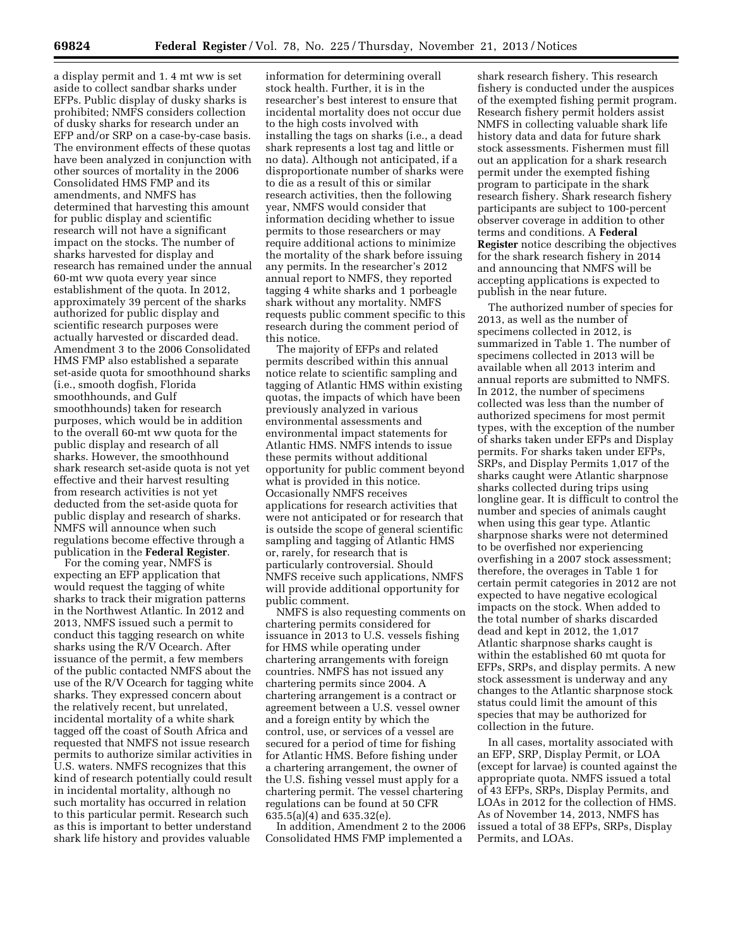a display permit and 1. 4 mt ww is set aside to collect sandbar sharks under EFPs. Public display of dusky sharks is prohibited; NMFS considers collection of dusky sharks for research under an EFP and/or SRP on a case-by-case basis. The environment effects of these quotas have been analyzed in conjunction with other sources of mortality in the 2006 Consolidated HMS FMP and its amendments, and NMFS has determined that harvesting this amount for public display and scientific research will not have a significant impact on the stocks. The number of sharks harvested for display and research has remained under the annual 60-mt ww quota every year since establishment of the quota. In 2012, approximately 39 percent of the sharks authorized for public display and scientific research purposes were actually harvested or discarded dead. Amendment 3 to the 2006 Consolidated HMS FMP also established a separate set-aside quota for smoothhound sharks (i.e., smooth dogfish, Florida smoothhounds, and Gulf smoothhounds) taken for research purposes, which would be in addition to the overall 60-mt ww quota for the public display and research of all sharks. However, the smoothhound shark research set-aside quota is not yet effective and their harvest resulting from research activities is not yet deducted from the set-aside quota for public display and research of sharks. NMFS will announce when such regulations become effective through a publication in the **Federal Register**.

For the coming year, NMFS is expecting an EFP application that would request the tagging of white sharks to track their migration patterns in the Northwest Atlantic. In 2012 and 2013, NMFS issued such a permit to conduct this tagging research on white sharks using the R/V Ocearch. After issuance of the permit, a few members of the public contacted NMFS about the use of the R/V Ocearch for tagging white sharks. They expressed concern about the relatively recent, but unrelated, incidental mortality of a white shark tagged off the coast of South Africa and requested that NMFS not issue research permits to authorize similar activities in U.S. waters. NMFS recognizes that this kind of research potentially could result in incidental mortality, although no such mortality has occurred in relation to this particular permit. Research such as this is important to better understand shark life history and provides valuable

information for determining overall stock health. Further, it is in the researcher's best interest to ensure that incidental mortality does not occur due to the high costs involved with installing the tags on sharks (i.e., a dead shark represents a lost tag and little or no data). Although not anticipated, if a disproportionate number of sharks were to die as a result of this or similar research activities, then the following year, NMFS would consider that information deciding whether to issue permits to those researchers or may require additional actions to minimize the mortality of the shark before issuing any permits. In the researcher's 2012 annual report to NMFS, they reported tagging 4 white sharks and 1 porbeagle shark without any mortality. NMFS requests public comment specific to this research during the comment period of this notice.

The majority of EFPs and related permits described within this annual notice relate to scientific sampling and tagging of Atlantic HMS within existing quotas, the impacts of which have been previously analyzed in various environmental assessments and environmental impact statements for Atlantic HMS. NMFS intends to issue these permits without additional opportunity for public comment beyond what is provided in this notice. Occasionally NMFS receives applications for research activities that were not anticipated or for research that is outside the scope of general scientific sampling and tagging of Atlantic HMS or, rarely, for research that is particularly controversial. Should NMFS receive such applications, NMFS will provide additional opportunity for public comment.

NMFS is also requesting comments on chartering permits considered for issuance in 2013 to U.S. vessels fishing for HMS while operating under chartering arrangements with foreign countries. NMFS has not issued any chartering permits since 2004. A chartering arrangement is a contract or agreement between a U.S. vessel owner and a foreign entity by which the control, use, or services of a vessel are secured for a period of time for fishing for Atlantic HMS. Before fishing under a chartering arrangement, the owner of the U.S. fishing vessel must apply for a chartering permit. The vessel chartering regulations can be found at 50 CFR 635.5(a)(4) and 635.32(e).

In addition, Amendment 2 to the 2006 Consolidated HMS FMP implemented a

shark research fishery. This research fishery is conducted under the auspices of the exempted fishing permit program. Research fishery permit holders assist NMFS in collecting valuable shark life history data and data for future shark stock assessments. Fishermen must fill out an application for a shark research permit under the exempted fishing program to participate in the shark research fishery. Shark research fishery participants are subject to 100-percent observer coverage in addition to other terms and conditions. A **Federal Register** notice describing the objectives for the shark research fishery in 2014 and announcing that NMFS will be accepting applications is expected to publish in the near future.

The authorized number of species for 2013, as well as the number of specimens collected in 2012, is summarized in Table 1. The number of specimens collected in 2013 will be available when all 2013 interim and annual reports are submitted to NMFS. In 2012, the number of specimens collected was less than the number of authorized specimens for most permit types, with the exception of the number of sharks taken under EFPs and Display permits. For sharks taken under EFPs, SRPs, and Display Permits 1,017 of the sharks caught were Atlantic sharpnose sharks collected during trips using longline gear. It is difficult to control the number and species of animals caught when using this gear type. Atlantic sharpnose sharks were not determined to be overfished nor experiencing overfishing in a 2007 stock assessment; therefore, the overages in Table 1 for certain permit categories in 2012 are not expected to have negative ecological impacts on the stock. When added to the total number of sharks discarded dead and kept in 2012, the 1,017 Atlantic sharpnose sharks caught is within the established 60 mt quota for EFPs, SRPs, and display permits. A new stock assessment is underway and any changes to the Atlantic sharpnose stock status could limit the amount of this species that may be authorized for collection in the future.

In all cases, mortality associated with an EFP, SRP, Display Permit, or LOA (except for larvae) is counted against the appropriate quota. NMFS issued a total of 43 EFPs, SRPs, Display Permits, and LOAs in 2012 for the collection of HMS. As of November 14, 2013, NMFS has issued a total of 38 EFPs, SRPs, Display Permits, and LOAs.